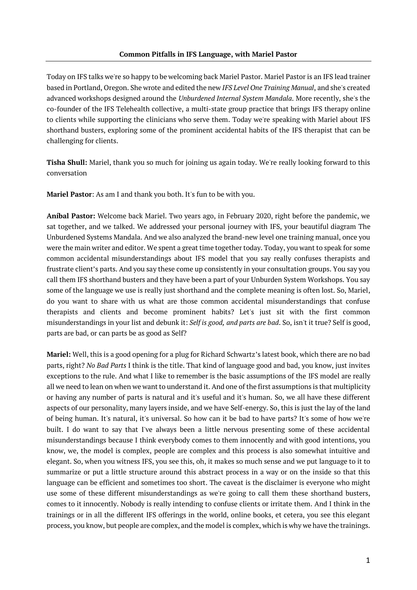Today on IFS talks we're so happy to be welcoming back Mariel Pastor. Mariel Pastor is an IFS lead trainer based in Portland, Oregon. She wrote and edited the new *IFS Level One Training Manual*, and she's created advanced workshops designed around the *Unburdened Internal System Mandala*. More recently, she's the co-founder of the IFS Telehealth collective, a multi-state group practice that brings IFS therapy online to clients while supporting the clinicians who serve them. Today we're speaking with Mariel about IFS shorthand busters, exploring some of the prominent accidental habits of the IFS therapist that can be challenging for clients.

**Tisha Shull:** Mariel, thank you so much for joining us again today. We're really looking forward to this conversation

**Mariel Pastor**: As am I and thank you both. It's fun to be with you.

**Aníbal Pastor:** Welcome back Mariel. Two years ago, in February 2020, right before the pandemic, we sat together, and we talked. We addressed your personal journey with IFS, your beautiful diagram The Unburdened Systems Mandala. And we also analyzed the brand-new level one training manual, once you were the main writer and editor. We spent a great time together today. Today, you want to speak for some common accidental misunderstandings about IFS model that you say really confuses therapists and frustrate client's parts. And you say these come up consistently in your consultation groups. You say you call them IFS shorthand busters and they have been a part of your Unburden System Workshops. You say some of the language we use is really just shorthand and the complete meaning is often lost. So, Mariel, do you want to share with us what are those common accidental misunderstandings that confuse therapists and clients and become prominent habits? Let's just sit with the first common misunderstandings in your list and debunk it: *Self is good, and parts are bad*. So, isn't it true? Self is good, parts are bad, or can parts be as good as Self?

**Mariel:** Well, this is a good opening for a plug for Richard Schwartz's latest book, which there are no bad parts, right? *No Bad Parts* I think is the title. That kind of language good and bad, you know, just invites exceptions to the rule. And what I like to remember is the basic assumptions of the IFS model are really all we need to lean on when we want to understand it. And one of the first assumptions is that multiplicity or having any number of parts is natural and it's useful and it's human. So, we all have these different aspects of our personality, many layers inside, and we have Self-energy. So, this is just the lay of the land of being human. It's natural, it's universal. So how can it be bad to have parts? It's some of how we're built. I do want to say that I've always been a little nervous presenting some of these accidental misunderstandings because I think everybody comes to them innocently and with good intentions, you know, we, the model is complex, people are complex and this process is also somewhat intuitive and elegant. So, when you witness IFS, you see this, oh, it makes so much sense and we put language to it to summarize or put a little structure around this abstract process in a way or on the inside so that this language can be efficient and sometimes too short. The caveat is the disclaimer is everyone who might use some of these different misunderstandings as we're going to call them these shorthand busters, comes to it innocently. Nobody is really intending to confuse clients or irritate them. And I think in the trainings or in all the different IFS offerings in the world, online books, et cetera, you see this elegant process, you know, but people are complex, and the model is complex, which is why we have the trainings.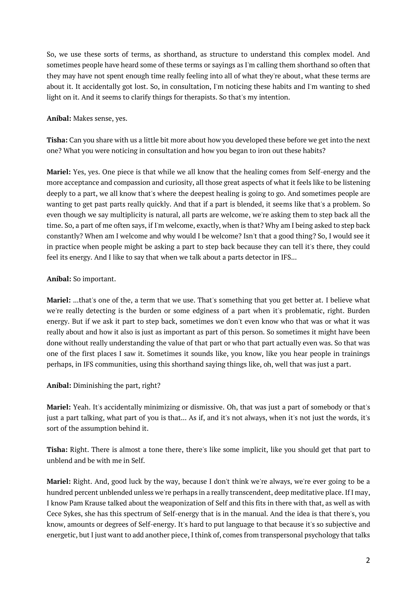So, we use these sorts of terms, as shorthand, as structure to understand this complex model. And sometimes people have heard some of these terms or sayings as I'm calling them shorthand so often that they may have not spent enough time really feeling into all of what they're about, what these terms are about it. It accidentally got lost. So, in consultation, I'm noticing these habits and I'm wanting to shed light on it. And it seems to clarify things for therapists. So that's my intention.

### **Aníbal:** Makes sense, yes.

**Tisha:** Can you share with us a little bit more about how you developed these before we get into the next one? What you were noticing in consultation and how you began to iron out these habits?

**Mariel:** Yes, yes. One piece is that while we all know that the healing comes from Self-energy and the more acceptance and compassion and curiosity, all those great aspects of what it feels like to be listening deeply to a part, we all know that's where the deepest healing is going to go. And sometimes people are wanting to get past parts really quickly. And that if a part is blended, it seems like that's a problem. So even though we say multiplicity is natural, all parts are welcome, we're asking them to step back all the time. So, a part of me often says, if I'm welcome, exactly, when is that? Why am I being asked to step back constantly? When am I welcome and why would I be welcome? Isn't that a good thing? So, I would see it in practice when people might be asking a part to step back because they can tell it's there, they could feel its energy. And I like to say that when we talk about a parts detector in IFS...

### **Aníbal:** So important.

**Mariel:** ...that's one of the, a term that we use. That's something that you get better at. I believe what we're really detecting is the burden or some edginess of a part when it's problematic, right. Burden energy. But if we ask it part to step back, sometimes we don't even know who that was or what it was really about and how it also is just as important as part of this person. So sometimes it might have been done without really understanding the value of that part or who that part actually even was. So that was one of the first places I saw it. Sometimes it sounds like, you know, like you hear people in trainings perhaps, in IFS communities, using this shorthand saying things like, oh, well that was just a part.

### **Aníbal:** Diminishing the part, right?

**Mariel:** Yeah. It's accidentally minimizing or dismissive. Oh, that was just a part of somebody or that's just a part talking, what part of you is that... As if, and it's not always, when it's not just the words, it's sort of the assumption behind it.

**Tisha:** Right. There is almost a tone there, there's like some implicit, like you should get that part to unblend and be with me in Self.

**Mariel:** Right. And, good luck by the way, because I don't think we're always, we're ever going to be a hundred percent unblended unless we're perhaps in a really transcendent, deep meditative place. If I may, I know Pam Krause talked about the weaponization of Self and this fits in there with that, as well as with Cece Sykes, she has this spectrum of Self-energy that is in the manual. And the idea is that there's, you know, amounts or degrees of Self-energy. It's hard to put language to that because it's so subjective and energetic, but I just want to add another piece, I think of, comes from transpersonal psychology that talks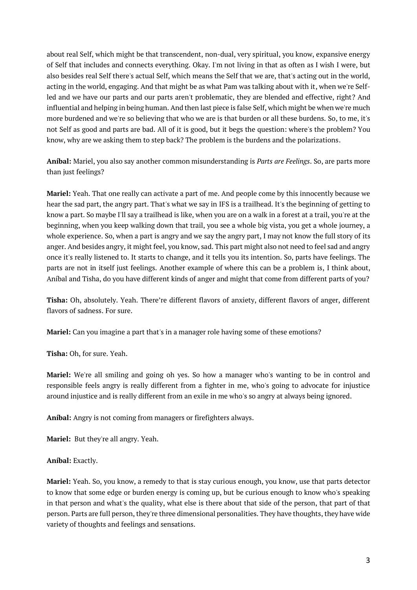about real Self, which might be that transcendent, non-dual, very spiritual, you know, expansive energy of Self that includes and connects everything. Okay. I'm not living in that as often as I wish I were, but also besides real Self there's actual Self, which means the Self that we are, that's acting out in the world, acting in the world, engaging. And that might be as what Pam was talking about with it, when we're Selfled and we have our parts and our parts aren't problematic, they are blended and effective, right? And influential and helping in being human. And then last piece is false Self, which might be when we're much more burdened and we're so believing that who we are is that burden or all these burdens. So, to me, it's not Self as good and parts are bad. All of it is good, but it begs the question: where's the problem? You know, why are we asking them to step back? The problem is the burdens and the polarizations.

**Aníbal:** Mariel, you also say another common misunderstanding is *Parts are Feelings*. So, are parts more than just feelings?

**Mariel:** Yeah. That one really can activate a part of me. And people come by this innocently because we hear the sad part, the angry part. That's what we say in IFS is a trailhead. It's the beginning of getting to know a part. So maybe I'll say a trailhead is like, when you are on a walk in a forest at a trail, you're at the beginning, when you keep walking down that trail, you see a whole big vista, you get a whole journey, a whole experience. So, when a part is angry and we say the angry part, I may not know the full story of its anger. And besides angry, it might feel, you know, sad. This part might also not need to feel sad and angry once it's really listened to. It starts to change, and it tells you its intention. So, parts have feelings. The parts are not in itself just feelings. Another example of where this can be a problem is, I think about, Aníbal and Tisha, do you have different kinds of anger and might that come from different parts of you?

**Tisha:** Oh, absolutely. Yeah. There're different flavors of anxiety, different flavors of anger, different flavors of sadness. For sure.

**Mariel:** Can you imagine a part that's in a manager role having some of these emotions?

**Tisha:** Oh, for sure. Yeah.

**Mariel:** We're all smiling and going oh yes. So how a manager who's wanting to be in control and responsible feels angry is really different from a fighter in me, who's going to advocate for injustice around injustice and is really different from an exile in me who's so angry at always being ignored.

**Aníbal:** Angry is not coming from managers or firefighters always.

**Mariel:** But they're all angry. Yeah.

**Aníbal:** Exactly.

**Mariel:** Yeah. So, you know, a remedy to that is stay curious enough, you know, use that parts detector to know that some edge or burden energy is coming up, but be curious enough to know who's speaking in that person and what's the quality, what else is there about that side of the person, that part of that person. Parts are full person, they're three dimensional personalities. They have thoughts, they have wide variety of thoughts and feelings and sensations.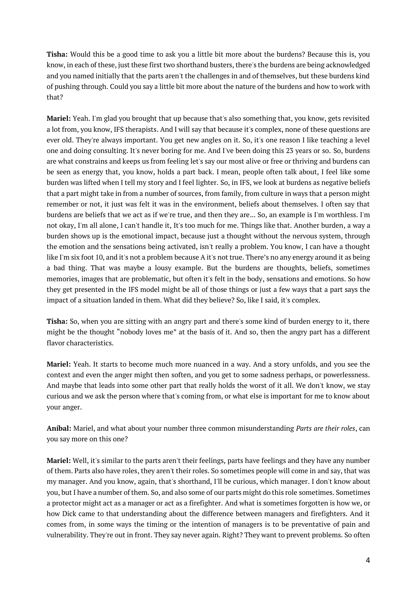**Tisha:** Would this be a good time to ask you a little bit more about the burdens? Because this is, you know, in each of these, just these first two shorthand busters, there's the burdens are being acknowledged and you named initially that the parts aren't the challenges in and of themselves, but these burdens kind of pushing through. Could you say a little bit more about the nature of the burdens and how to work with that?

**Mariel:** Yeah. I'm glad you brought that up because that's also something that, you know, gets revisited a lot from, you know, IFS therapists. And I will say that because it's complex, none of these questions are ever old. They're always important. You get new angles on it. So, it's one reason I like teaching a level one and doing consulting. It's never boring for me. And I've been doing this 23 years or so. So, burdens are what constrains and keeps us from feeling let's say our most alive or free or thriving and burdens can be seen as energy that, you know, holds a part back. I mean, people often talk about, I feel like some burden was lifted when I tell my story and I feel lighter. So, in IFS, we look at burdens as negative beliefs that a part might take in from a number of sources, from family, from culture in ways that a person might remember or not, it just was felt it was in the environment, beliefs about themselves. I often say that burdens are beliefs that we act as if we're true, and then they are... So, an example is I'm worthless. I'm not okay, I'm all alone, I can't handle it, It's too much for me. Things like that. Another burden, a way a burden shows up is the emotional impact, because just a thought without the nervous system, through the emotion and the sensations being activated, isn't really a problem. You know, I can have a thought like I'm six foot 10, and it's not a problem because A it's not true. There's no any energy around it as being a bad thing. That was maybe a lousy example. But the burdens are thoughts, beliefs, sometimes memories, images that are problematic, but often it's felt in the body, sensations and emotions. So how they get presented in the IFS model might be all of those things or just a few ways that a part says the impact of a situation landed in them. What did they believe? So, like I said, it's complex.

**Tisha:** So, when you are sitting with an angry part and there's some kind of burden energy to it, there might be the thought "nobody loves me" at the basis of it. And so, then the angry part has a different flavor characteristics.

**Mariel:** Yeah. It starts to become much more nuanced in a way. And a story unfolds, and you see the context and even the anger might then soften, and you get to some sadness perhaps, or powerlessness. And maybe that leads into some other part that really holds the worst of it all. We don't know, we stay curious and we ask the person where that's coming from, or what else is important for me to know about your anger.

**Aníbal:** Mariel, and what about your number three common misunderstanding *Parts are their roles*, can you say more on this one?

**Mariel:** Well, it's similar to the parts aren't their feelings, parts have feelings and they have any number of them. Parts also have roles, they aren't their roles. So sometimes people will come in and say, that was my manager. And you know, again, that's shorthand, I'll be curious, which manager. I don't know about you, but I have a number of them. So, and also some of our parts might do this role sometimes. Sometimes a protector might act as a manager or act as a firefighter. And what is sometimes forgotten is how we, or how Dick came to that understanding about the difference between managers and firefighters. And it comes from, in some ways the timing or the intention of managers is to be preventative of pain and vulnerability. They're out in front. They say never again. Right? They want to prevent problems. So often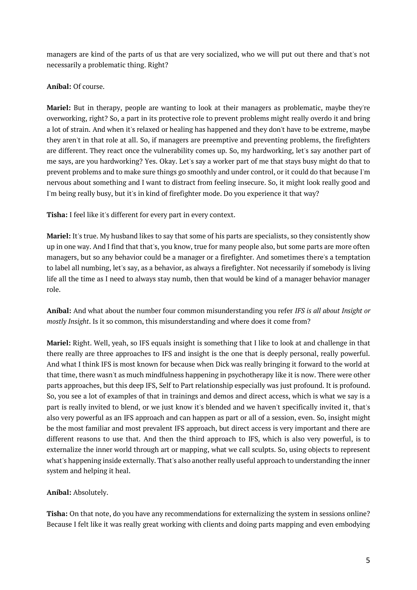managers are kind of the parts of us that are very socialized, who we will put out there and that's not necessarily a problematic thing. Right?

## **Aníbal:** Of course.

**Mariel:** But in therapy, people are wanting to look at their managers as problematic, maybe they're overworking, right? So, a part in its protective role to prevent problems might really overdo it and bring a lot of strain. And when it's relaxed or healing has happened and they don't have to be extreme, maybe they aren't in that role at all. So, if managers are preemptive and preventing problems, the firefighters are different. They react once the vulnerability comes up. So, my hardworking, let's say another part of me says, are you hardworking? Yes. Okay. Let's say a worker part of me that stays busy might do that to prevent problems and to make sure things go smoothly and under control, or it could do that because I'm nervous about something and I want to distract from feeling insecure. So, it might look really good and I'm being really busy, but it's in kind of firefighter mode. Do you experience it that way?

**Tisha:** I feel like it's different for every part in every context.

**Mariel:** It's true. My husband likes to say that some of his parts are specialists, so they consistently show up in one way. And I find that that's, you know, true for many people also, but some parts are more often managers, but so any behavior could be a manager or a firefighter. And sometimes there's a temptation to label all numbing, let's say, as a behavior, as always a firefighter. Not necessarily if somebody is living life all the time as I need to always stay numb, then that would be kind of a manager behavior manager role.

**Aníbal:** And what about the number four common misunderstanding you refer *IFS is all about Insight or mostly Insight*. Is it so common, this misunderstanding and where does it come from?

**Mariel:** Right. Well, yeah, so IFS equals insight is something that I like to look at and challenge in that there really are three approaches to IFS and insight is the one that is deeply personal, really powerful. And what I think IFS is most known for because when Dick was really bringing it forward to the world at that time, there wasn't as much mindfulness happening in psychotherapy like it is now. There were other parts approaches, but this deep IFS, Self to Part relationship especially was just profound. It is profound. So, you see a lot of examples of that in trainings and demos and direct access, which is what we say is a part is really invited to blend, or we just know it's blended and we haven't specifically invited it, that's also very powerful as an IFS approach and can happen as part or all of a session, even. So, insight might be the most familiar and most prevalent IFS approach, but direct access is very important and there are different reasons to use that. And then the third approach to IFS, which is also very powerful, is to externalize the inner world through art or mapping, what we call sculpts. So, using objects to represent what's happening inside externally. That's also another really useful approach to understanding the inner system and helping it heal.

# **Aníbal:** Absolutely.

**Tisha:** On that note, do you have any recommendations for externalizing the system in sessions online? Because I felt like it was really great working with clients and doing parts mapping and even embodying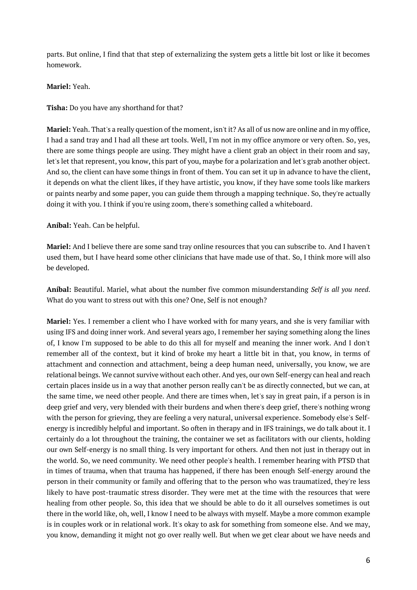parts. But online, I find that that step of externalizing the system gets a little bit lost or like it becomes homework.

**Mariel:** Yeah.

**Tisha:** Do you have any shorthand for that?

**Mariel:** Yeah. That's a really question of the moment, isn't it? As all of us now are online and in my office, I had a sand tray and I had all these art tools. Well, I'm not in my office anymore or very often. So, yes, there are some things people are using. They might have a client grab an object in their room and say, let's let that represent, you know, this part of you, maybe for a polarization and let's grab another object. And so, the client can have some things in front of them. You can set it up in advance to have the client, it depends on what the client likes, if they have artistic, you know, if they have some tools like markers or paints nearby and some paper, you can guide them through a mapping technique. So, they're actually doing it with you. I think if you're using zoom, there's something called a whiteboard.

**Aníbal:** Yeah. Can be helpful.

**Mariel:** And I believe there are some sand tray online resources that you can subscribe to. And I haven't used them, but I have heard some other clinicians that have made use of that. So, I think more will also be developed.

**Aníbal:** Beautiful. Mariel, what about the number five common misunderstanding *Self is all you need*. What do you want to stress out with this one? One, Self is not enough?

**Mariel:** Yes. I remember a client who I have worked with for many years, and she is very familiar with using IFS and doing inner work. And several years ago, I remember her saying something along the lines of, I know I'm supposed to be able to do this all for myself and meaning the inner work. And I don't remember all of the context, but it kind of broke my heart a little bit in that, you know, in terms of attachment and connection and attachment, being a deep human need, universally, you know, we are relational beings. We cannot survive without each other. And yes, our own Self-energy can heal and reach certain places inside us in a way that another person really can't be as directly connected, but we can, at the same time, we need other people. And there are times when, let's say in great pain, if a person is in deep grief and very, very blended with their burdens and when there's deep grief, there's nothing wrong with the person for grieving, they are feeling a very natural, universal experience. Somebody else's Selfenergy is incredibly helpful and important. So often in therapy and in IFS trainings, we do talk about it. I certainly do a lot throughout the training, the container we set as facilitators with our clients, holding our own Self-energy is no small thing. Is very important for others. And then not just in therapy out in the world. So, we need community. We need other people's health. I remember hearing with PTSD that in times of trauma, when that trauma has happened, if there has been enough Self-energy around the person in their community or family and offering that to the person who was traumatized, they're less likely to have post-traumatic stress disorder. They were met at the time with the resources that were healing from other people. So, this idea that we should be able to do it all ourselves sometimes is out there in the world like, oh, well, I know I need to be always with myself. Maybe a more common example is in couples work or in relational work. It's okay to ask for something from someone else. And we may, you know, demanding it might not go over really well. But when we get clear about we have needs and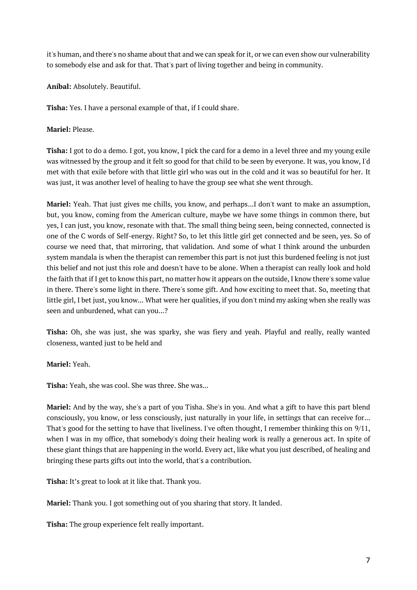it's human, and there's no shame about that and we can speak for it, or we can even show our vulnerability to somebody else and ask for that. That's part of living together and being in community.

**Aníbal:** Absolutely. Beautiful.

**Tisha:** Yes. I have a personal example of that, if I could share.

**Mariel:** Please.

**Tisha:** I got to do a demo. I got, you know, I pick the card for a demo in a level three and my young exile was witnessed by the group and it felt so good for that child to be seen by everyone. It was, you know, I'd met with that exile before with that little girl who was out in the cold and it was so beautiful for her. It was just, it was another level of healing to have the group see what she went through.

**Mariel:** Yeah. That just gives me chills, you know, and perhaps...I don't want to make an assumption, but, you know, coming from the American culture, maybe we have some things in common there, but yes, I can just, you know, resonate with that. The small thing being seen, being connected, connected is one of the C words of Self-energy. Right? So, to let this little girl get connected and be seen, yes. So of course we need that, that mirroring, that validation. And some of what I think around the unburden system mandala is when the therapist can remember this part is not just this burdened feeling is not just this belief and not just this role and doesn't have to be alone. When a therapist can really look and hold the faith that if I get to know this part, no matter how it appears on the outside, I know there's some value in there. There's some light in there. There's some gift. And how exciting to meet that. So, meeting that little girl, I bet just, you know... What were her qualities, if you don't mind my asking when she really was seen and unburdened, what can you...?

**Tisha:** Oh, she was just, she was sparky, she was fiery and yeah. Playful and really, really wanted closeness, wanted just to be held and

**Mariel:** Yeah.

**Tisha:** Yeah, she was cool. She was three. She was...

**Mariel:** And by the way, she's a part of you Tisha. She's in you. And what a gift to have this part blend consciously, you know, or less consciously, just naturally in your life, in settings that can receive for... That's good for the setting to have that liveliness. I've often thought, I remember thinking this on 9/11, when I was in my office, that somebody's doing their healing work is really a generous act. In spite of these giant things that are happening in the world. Every act, like what you just described, of healing and bringing these parts gifts out into the world, that's a contribution.

**Tisha:** It's great to look at it like that. Thank you.

**Mariel:** Thank you. I got something out of you sharing that story. It landed.

**Tisha:** The group experience felt really important.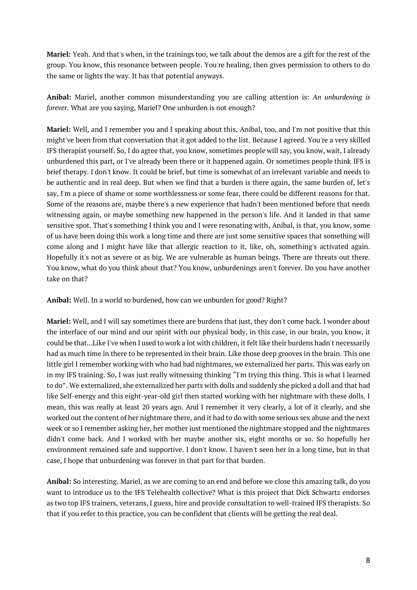**Mariel:** Yeah. And that's when, in the trainings too, we talk about the demos are a gift for the rest of the group. You know, this resonance between people. You're healing, then gives permission to others to do the same or lights the way. It has that potential anyways.

**Aníbal:** Mariel, another common misunderstanding you are calling attention is: *An unburdening is forever.* What are you saying, Mariel? One unburden is not enough?

**Mariel:** Well, and I remember you and I speaking about this, Aníbal, too, and I'm not positive that this might've been from that conversation that it got added to the list. Because I agreed. You're a very skilled IFS therapist yourself. So, I do agree that, you know, sometimes people will say, you know, wait, I already unburdened this part, or I've already been there or it happened again. Or sometimes people think IFS is brief therapy. I don't know. It could be brief, but time is somewhat of an irrelevant variable and needs to be authentic and in real deep. But when we find that a burden is there again, the same burden of, let's say, I'm a piece of shame or some worthlessness or some fear, there could be different reasons for that. Some of the reasons are, maybe there's a new experience that hadn't been mentioned before that needs witnessing again, or maybe something new happened in the person's life. And it landed in that same sensitive spot. That's something I think you and I were resonating with, Aníbal, is that, you know, some of us have been doing this work a long time and there are just some sensitive spaces that something will come along and I might have like that allergic reaction to it, like, oh, something's activated again. Hopefully it's not as severe or as big. We are vulnerable as human beings. There are threats out there. You know, what do you think about that? You know, unburdenings aren't forever. Do you have another take on that?

**Aníbal:** Well. In a world so burdened, how can we unburden for good? Right?

**Mariel:** Well, and I will say sometimes there are burdens that just, they don't come back. I wonder about the interface of our mind and our spirit with our physical body, in this case, in our brain, you know, it could be that...Like I've when I used to work a lot with children, it felt like their burdens hadn't necessarily had as much time in there to be represented in their brain. Like those deep grooves in the brain. This one little girl I remember working with who had bad nightmares, we externalized her parts. This was early on in my IFS training. So, I was just really witnessing thinking "I'm trying this thing. This is what I learned to do". We externalized, she externalized her parts with dolls and suddenly she picked a doll and that had like Self-energy and this eight-year-old girl then started working with her nightmare with these dolls. I mean, this was really at least 20 years ago. And I remember it very clearly, a lot of it clearly, and she worked out the content of her nightmare there, and it had to do with some serious sex abuse and the next week or so I remember asking her, her mother just mentioned the nightmare stopped and the nightmares didn't come back. And I worked with her maybe another six, eight months or so. So hopefully her environment remained safe and supportive. I don't know. I haven't seen her in a long time, but in that case, I hope that unburdening was forever in that part for that burden.

**Aníbal:** So interesting. Mariel, as we are coming to an end and before we close this amazing talk, do you want to introduce us to the IFS Telehealth collective? What is this project that Dick Schwartz endorses as two top IFS trainers, veterans, I guess, hire and provide consultation to well-trained IFS therapists. So that if you refer to this practice, you can be confident that clients will be getting the real deal.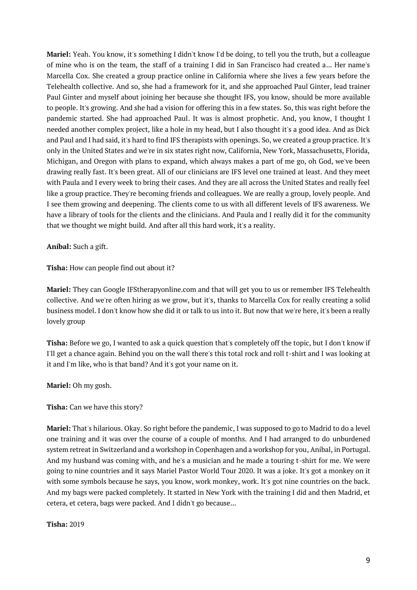**Mariel:** Yeah. You know, it's something I didn't know I'd be doing, to tell you the truth, but a colleague of mine who is on the team, the staff of a training I did in San Francisco had created a... Her name's Marcella Cox. She created a group practice online in California where she lives a few years before the Telehealth collective. And so, she had a framework for it, and she approached Paul Ginter, lead trainer Paul Ginter and myself about joining her because she thought IFS, you know, should be more available to people. It's growing. And she had a vision for offering this in a few states. So, this was right before the pandemic started. She had approached Paul. It was is almost prophetic. And, you know, I thought I needed another complex project, like a hole in my head, but I also thought it's a good idea. And as Dick and Paul and I had said, it's hard to find IFS therapists with openings. So, we created a group practice. It's only in the United States and we're in six states right now, California, New York, Massachusetts, Florida, Michigan, and Oregon with plans to expand, which always makes a part of me go, oh God, we've been drawing really fast. It's been great. All of our clinicians are IFS level one trained at least. And they meet with Paula and I every week to bring their cases. And they are all across the United States and really feel like a group practice. They're becoming friends and colleagues. We are really a group, lovely people. And I see them growing and deepening. The clients come to us with all different levels of IFS awareness. We have a library of tools for the clients and the clinicians. And Paula and I really did it for the community that we thought we might build. And after all this hard work, it's a reality.

**Aníbal:** Such a gift.

**Tisha:** How can people find out about it?

**Mariel:** They can Google IFStherapyonline.com and that will get you to us or remember IFS Telehealth collective. And we're often hiring as we grow, but it's, thanks to Marcella Cox for really creating a solid business model. I don't know how she did it or talk to us into it. But now that we're here, it's been a really lovely group

**Tisha:** Before we go, I wanted to ask a quick question that's completely off the topic, but I don't know if I'll get a chance again. Behind you on the wall there's this total rock and roll t-shirt and I was looking at it and I'm like, who is that band? And it's got your name on it.

**Mariel:** Oh my gosh.

**Tisha:** Can we have this story?

**Mariel:** That's hilarious. Okay. So right before the pandemic, I was supposed to go to Madrid to do a level one training and it was over the course of a couple of months. And I had arranged to do unburdened system retreat in Switzerland and a workshop in Copenhagen and a workshop for you, Aníbal, in Portugal. And my husband was coming with, and he's a musician and he made a touring t-shirt for me. We were going to nine countries and it says Mariel Pastor World Tour 2020. It was a joke. It's got a monkey on it with some symbols because he says, you know, work monkey, work. It's got nine countries on the back. And my bags were packed completely. It started in New York with the training I did and then Madrid, et cetera, et cetera, bags were packed. And I didn't go because...

**Tisha:** 2019